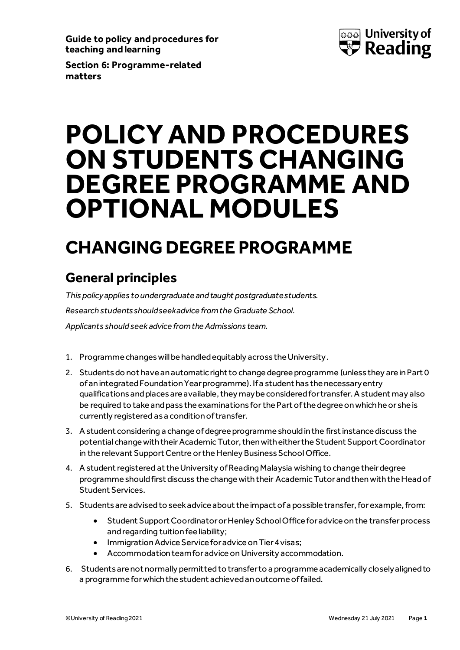**Guide to policy and procedures for teaching and learning**



**Section 6: Programme-related matters**

# **POLICY AND PROCEDURES ON STUDENTS CHANGING DEGREE PROGRAMME AND OPTIONAL MODULES**

## **CHANGING DEGREE PROGRAMME**

## **General principles**

*This policy applies to undergraduate and taught postgraduate students. Research students should seek advice from the Graduate School. Applicants should seek advice from the Admissions team.*

- 1. Programme changes will be handled equitably across the University.
- 2. Students do not have an automatic right to change degree programme (unless they are in Part 0 of an integrated Foundation Year programme). If a student has the necessary entry qualifications and places are available, they may be considered for transfer. A student may also be required to take and pass the examinations forthe Part of the degree on which he or she is currently registered as a condition of transfer.
- 3. A student considering a change of degree programme should in the first instance discuss the potential change with their AcademicTutor, then with either the Student Support Coordinator in the relevant Support Centre or the Henley Business School Office.
- 4. Astudent registered at the University of Reading Malaysia wishing to change their degree programme should first discuss the change with their AcademicTutor and then with the Head of Student Services.
- 5. Students are advised to seek advice about the impact of a possible transfer, for example, from:
	- Student Support Coordinator or Henley School Office for advice on the transferprocess and regarding tuition fee liability;
	- Immigration Advice Service for advice on Tier 4 visas;
	- Accommodation team for advice on University accommodation.
- 6. Students are not normally permitted to transfer to a programme academically closely aligned to a programme for which the student achieved an outcome of failed.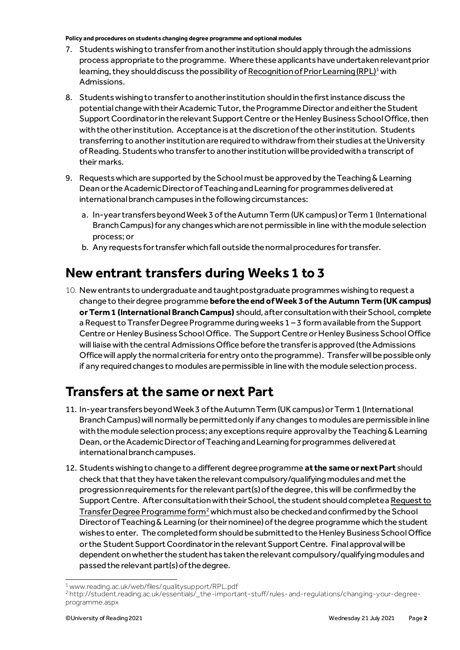#### **Policy and procedures on students changing degree programme and optional modules**

- 7. Students wishing to transfer from another institution shouldapply through the admissions process appropriate to the programme. Wherethese applicants have undertaken relevant prior learning, they should discuss the possibility o[f Recognition of Prior Learning \(RPL\)](http://www.reading.ac.uk/web/files/qualitysupport/RPL.pdf)<sup>1</sup> with Admissions.
- 8. Students wishing to transfer to another institution should in the first instance discuss the potential change with their Academic Tutor, the Programme Director and either the Student Support Coordinator in the relevant Support Centre or the Henley Business School Office, then with the other institution. Acceptance is at the discretion of the other institution. Students transferring to another institutionare required to withdraw from their studies at the University of Reading. Students who transfer to another institution will be provided with a transcript of their marks.
- 9. Requests which are supported by the School must be approvedby the Teaching & Learning Dean or the Academic Director of Teaching and Learning for programmes delivered at international branch campuses in the following circumstances:
	- a. In-year transfers beyond Week 3 of the Autumn Term (UK campus) or Term 1 (International Branch Campus) for any changes which are not permissible in line with the module selection process; or
	- b. Any requests for transferwhich fall outside the normal procedures for transfer.

## **New entrant transfers during Weeks 1 to 3**

10. New entrants to undergraduate and taught postgraduate programmes wishing to request a change to their degree programme **before the end of Week 3 of the Autumn Term (UK campus) or Term 1 (International Branch Campus)** should, after consultation with their School, complete a Request to Transfer Degree Programme during weeks 1 – 3 form available from the Support Centre or Henley Business SchoolOffice. The Support Centre or Henley Business SchoolOffice will liaise with the central Admissions Office before the transfer is approved (the Admissions Office will apply the normal criteria for entry onto the programme). Transfer will be possible only if any required changes to modules are permissible in line with the module selection process.

### **Transfers at the same or next Part**

- 11. In-year transfers beyond Week 3 of the Autumn Term (UK campus) or Term 1 (International BranchCampus)will normally be permitted only if any changes to modules are permissible in line with the module selection process; any exceptions require approval by the Teaching & Learning Dean, or the Academic Director of Teaching and Learning for programmes delivered at international branch campuses.
- 12. Students wishing to change to a different degree programme **at the same or next Part** should check that that they have taken the relevant compulsory/qualifying modules and met the progression requirements for the relevant part(s) of the degree, this will be confirmed by the Support Centre. After consultation with their School, the student should completea Request to [Transfer Degree Programme form](http://student.reading.ac.uk/essentials/_the-important-stuff/rules-and-regulations/changing-your-degree-programme.aspx)<sup>2</sup> which must also be checked and confirmed by the School Director of Teaching & Learning (or their nominee) of the degree programme which the student wishes to enter. The completed form should be submitted to the Henley Business SchoolOffice or the Student Support Coordinator in the relevant Support Centre. Final approval will be dependent on whether the student has taken the relevant compulsory/qualifying modules and passed the relevant part(s) of the degree.

<sup>1</sup>www.reading.ac.uk/web/files/qualitysupport/RPL.pdf

<sup>2</sup> http://student.reading.ac.uk/essentials/\_the-important-stuff/rules-and-regulations/changing-your-degreeprogramme.aspx